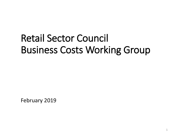# Retail Sector Council Business Costs Working Group

February 2019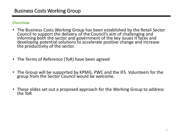#### **Overview**

- The Business Costs Working Group has been established by the Retail Sector Council to support the delivery of the Council's aim of challenging and informing both the sector and government of the key issues it faces and developing potential solutions to accelerate positive change and increase the productivity of the sector.
- The Terms of Reference (ToR) have been agreed
- The Group will be supported by KPMG, PWC and the IFS. Volunteers for the group from the Sector Council would be welcome.
- These slides set out a proposed approach for the Working Group to address the ToR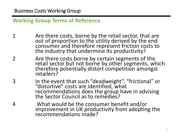**Working Group Terms of Reference**

- 1 Are there costs, borne by the retail sector, that are out of proportion to the utility derived by the end consumer and therefore represent friction costs to the industry that undermine its productivity?
- 2 Are there costs borne by certain segments of the retail sector but not borne by other segments, which therefore potentially distort competition amongst retailers?
- 3 In the event that such "deadweight", "frictional" or "distortive" costs are identified, what recommendations does the group have in advising the Sector Council as to remedies?
- 4 What would be the consumer benefit and/or improvement in UK productivity from adopting the recommendations made?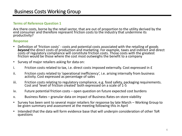#### **Terms of Reference Question 1**

Are there costs, borne by the retail sector, that are out of proportion to the utility derived by the end consumer and therefore represent friction costs to the industry that undermine its productivity?

#### **Response**

- Definition of 'friction costs' costs and potential costs associated with the retailing of goods **beyond** the direct costs of production and marketing. For example, taxes and indirect and direct costs of regulatory compliance will constitute friction costs. Those costs with the greatest friction would be those where the cost most outweighs the benefit to a company
- Survey of major retailers asking for data on:
- i. Friction costs related to tax, i.e. direct costs imposed externally. Cost expressed in £
- ii. Friction costs related to 'operational inefficiency', i.e. arising internally from business activity. Cost expressed as percentage of sales
- iii. Friction costs relating to regulatory compliance, e.g. food safety, packaging requirements. Cost and 'level of friction created' both expressed on a scale of 1-5
- iv. Future potential friction costs open question on future expected cost burdens
- v. Business Rates granular data on impact of Business Rates on store viability
- Survey has been sent to several major retailers for response by late March Working Group to be given summary and assessment at the meeting following this in April
- Intended that the data will form evidence base that will underpin consideration of other ToR questions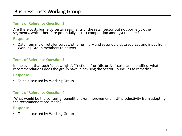### Business Costs Working Group

#### **Terms of Reference Question 2**

Are there costs borne by certain segments of the retail sector but not borne by other segments, which therefore potentially distort competition amongst retailers?

#### **Response**

• Data from major retailer survey, other primary and secondary data sources and input from Working Group members to answer

#### **Terms of Reference Question 3**

In the event that such "deadweight", "frictional" or "distortive" costs are identified, what recommendations does the group have in advising the Sector Council as to remedies?

#### **Response**

• To be discussed by Working Group

#### **Terms of Reference Question 4**

What would be the consumer benefit and/or improvement in UK productivity from adopting the recommendations made?

#### **Response**

• To be discussed by Working Group